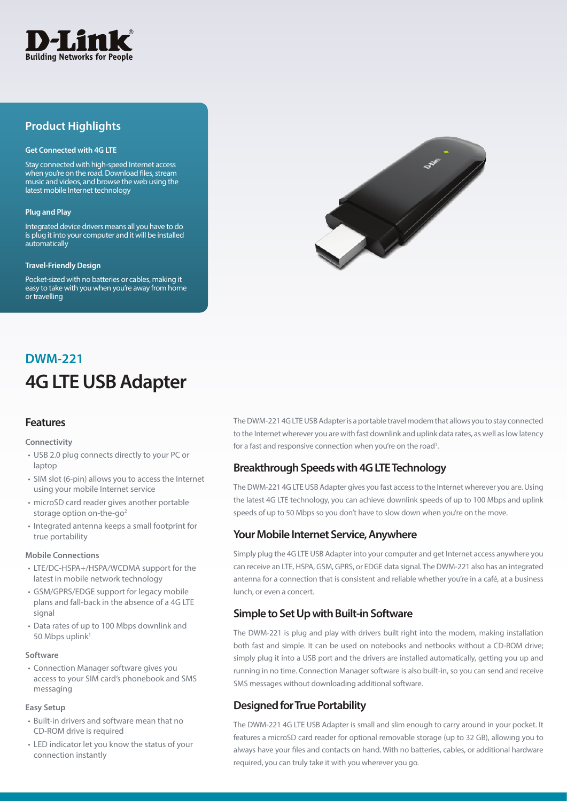

## **Product Highlights**

#### **Get Connected with 4G LTE**

Stay connected with high-speed Internet access when you're on the road. Download files, stream music and videos, and browse the web using the latest mobile Internet technology

#### **Plug and Play**

Integrated device drivers means all you have to do is plug it into your computer and it will be installed automatically

#### **Travel-Friendly Design**

Pocket-sized with no batteries or cables, making it easy to take with you when you're away from home or travelling



# **4G LTE USB Adapter DWM-221**

### **Features**

#### **Connectivity**

- USB 2.0 plug connects directly to your PC or laptop
- SIM slot (6-pin) allows you to access the Internet using your mobile Internet service
- microSD card reader gives another portable storage option on-the-go<sup>2</sup>
- Integrated antenna keeps a small footprint for true portability

#### **Mobile Connections**

- LTE/DC-HSPA+/HSPA/WCDMA support for the latest in mobile network technology
- GSM/GPRS/EDGE support for legacy mobile plans and fall-back in the absence of a 4G LTE signal
- Data rates of up to 100 Mbps downlink and 50 Mbps uplink1

#### **Software**

• Connection Manager software gives you access to your SIM card's phonebook and SMS messaging

#### **Easy Setup**

- Built-in drivers and software mean that no CD-ROM drive is required
- LED indicator let you know the status of your connection instantly

The DWM-221 4G LTE USB Adapter is a portable travel modem that allows you to stay connected to the Internet wherever you are with fast downlink and uplink data rates, as well as low latency for a fast and responsive connection when you're on the road<sup>1</sup>.

## **Breakthrough Speeds with 4G LTE Technology**

The DWM-221 4G LTE USB Adapter gives you fast access to the Internet wherever you are. Using the latest 4G LTE technology, you can achieve downlink speeds of up to 100 Mbps and uplink speeds of up to 50 Mbps so you don't have to slow down when you're on the move.

## **Your Mobile Internet Service, Anywhere**

Simply plug the 4G LTE USB Adapter into your computer and get Internet access anywhere you can receive an LTE, HSPA, GSM, GPRS, or EDGE data signal. The DWM-221 also has an integrated antenna for a connection that is consistent and reliable whether you're in a café, at a business lunch, or even a concert.

## **Simple to Set Up with Built-in Software**

The DWM-221 is plug and play with drivers built right into the modem, making installation both fast and simple. It can be used on notebooks and netbooks without a CD-ROM drive; simply plug it into a USB port and the drivers are installed automatically, getting you up and running in no time. Connection Manager software is also built-in, so you can send and receive SMS messages without downloading additional software.

## **Designed for True Portability**

The DWM-221 4G LTE USB Adapter is small and slim enough to carry around in your pocket. It features a microSD card reader for optional removable storage (up to 32 GB), allowing you to always have your files and contacts on hand. With no batteries, cables, or additional hardware required, you can truly take it with you wherever you go.